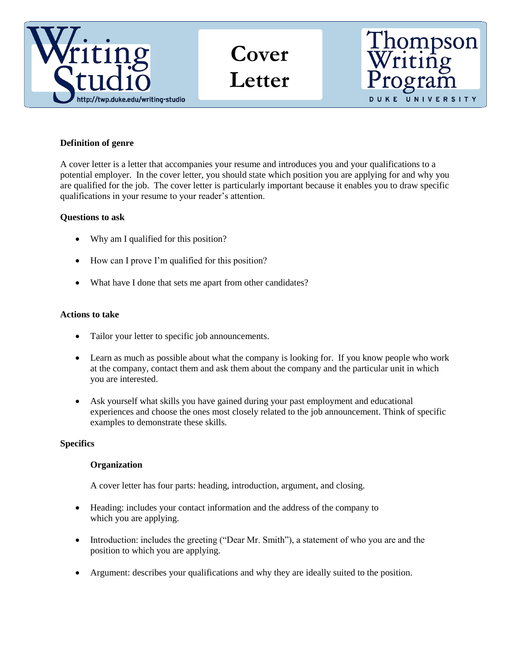

**Cover Letter**



## **Definition of genre**

A cover letter is a letter that accompanies your resume and introduces you and your qualifications to a potential employer. In the cover letter, you should state which position you are applying for and why you are qualified for the job. The cover letter is particularly important because it enables you to draw specific qualifications in your resume to your reader's attention.

## **Questions to ask**

- Why am I qualified for this position?
- How can I prove I'm qualified for this position?
- What have I done that sets me apart from other candidates?

#### **Actions to take**

- Tailor your letter to specific job announcements.
- Learn as much as possible about what the company is looking for. If you know people who work at the company, contact them and ask them about the company and the particular unit in which you are interested.
- Ask yourself what skills you have gained during your past employment and educational experiences and choose the ones most closely related to the job announcement. Think of specific examples to demonstrate these skills.

#### **Specifics**

## **Organization**

A cover letter has four parts: heading, introduction, argument, and closing.

- Heading: includes your contact information and the address of the company to which you are applying.
- Introduction: includes the greeting ("Dear Mr. Smith"), a statement of who you are and the position to which you are applying.
- Argument: describes your qualifications and why they are ideally suited to the position.